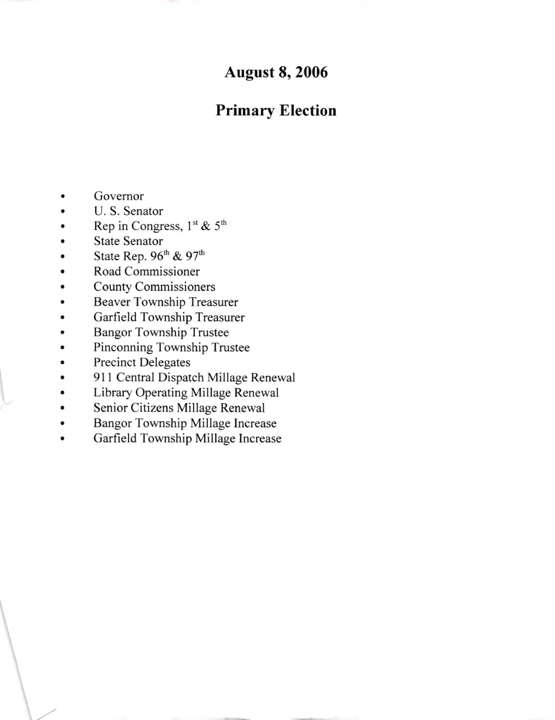# **August 8, 2006**

# Primary Election

- Govemor
- U. S. Senator
- Rep in Congress,  $1<sup>st</sup>$  &  $5<sup>th</sup>$
- State Senator
- State Rep. 96<sup>th</sup> & 97<sup>th</sup>
- Road Commissioner
- County Commissioners
- Beaver Township Treasurer
- Garfield Township Treasurer
- **Bangor Township Trustee**
- Pinconning Township Trustee
- Precinct Delegates

 $\downarrow$ 

- 911 Central Dispatch Millage Renewal
- Library Operating Millage Renewal  $\bullet$
- Senior Citizens Millage Renewal  $\bullet$
- Bangor Township Millage Increase o
- Garfield Township Millage Increase  $\bullet$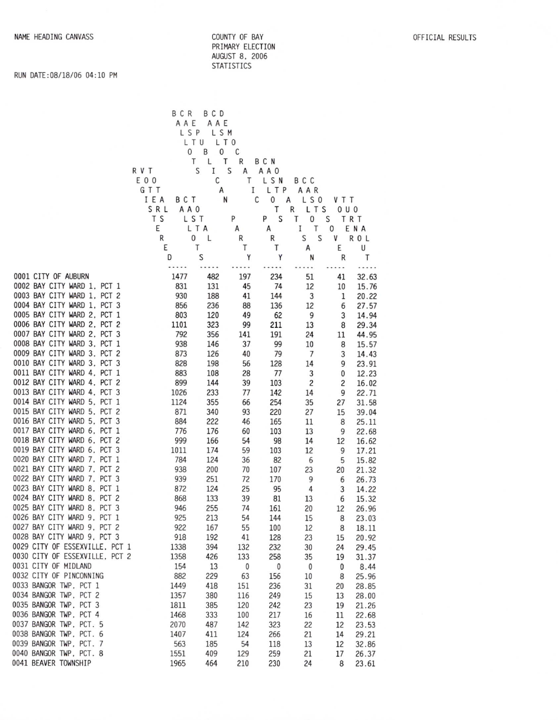OFFICIAL RESULTS

#### COUNTY OF BAY PRIMRY ELECTION AUGIJST 8. <sup>2006</sup> STATISTICS

#### RUN DATE:08/18/06 04:10 PM

|                                                            |                | BCR<br>AAE   | B C D<br>AAE             |                         |                          |                         |                |                |  |
|------------------------------------------------------------|----------------|--------------|--------------------------|-------------------------|--------------------------|-------------------------|----------------|----------------|--|
|                                                            |                | LSP          | LSM                      |                         |                          |                         |                |                |  |
|                                                            |                | 0            | L T U<br>L T O<br>0<br>B | C                       |                          |                         |                |                |  |
|                                                            |                |              | Τ<br>L<br>Τ              | R                       | B C N                    |                         |                |                |  |
|                                                            | R V T<br>E 0 0 |              | S<br>Ι<br>С              | S<br>A<br>T             | A A O<br>LSN             | B C C                   |                |                |  |
|                                                            | GTT            |              | A                        | Ι                       | LTP                      | AAR                     |                |                |  |
|                                                            | IEA            | <b>BCT</b>   | N                        |                         | С<br>0<br>Α              | LS0                     | <b>VTT</b>     |                |  |
|                                                            | SRL            | A A O        |                          | P                       | Τ<br>S                   | LTS<br>R                | 0 U 0          |                |  |
|                                                            | T S<br>Ε       |              | LST<br>LTA               | A                       | P<br>A                   | Τ<br>0<br>I<br>Τ        | S<br>0         | TRT<br>ENA     |  |
|                                                            | R              |              | 0<br>L                   | R                       | R                        | S<br>S                  | V              | R O L          |  |
|                                                            | Ε              |              | Τ                        | Τ                       | Т                        | Α                       | Ε              | U              |  |
|                                                            | D              |              | S                        | Y<br>                   | Y<br>                    | N<br>                   | R<br>          | Т<br>.         |  |
| 0001 CITY OF AUBURN                                        |                | 1477         | 482                      | 197                     | 234                      | 51                      | 41             | 32.63          |  |
| 0002 BAY CITY WARD 1, PCT 1                                |                | 831          | 131                      | 45                      | 74                       | 12                      | 10             | 15.76          |  |
| 0003 BAY CITY WARD 1, PCT 2                                |                | 930          | 188                      | 41                      | 144                      | 3                       | 1              | 20.22          |  |
| 0004 BAY CITY WARD 1, PCT 3<br>0005 BAY CITY WARD 2, PCT 1 |                | 856<br>803   | 236<br>120               | 88<br>49                | 136<br>62                | 12<br>9                 | 6<br>3         | 27.57<br>14.94 |  |
| 0006 BAY CITY WARD 2, PCT 2                                |                | 1101         | 323                      | 99                      | 211                      | 13                      | 8              | 29.34          |  |
| 0007 BAY CITY WARD 2, PCT 3                                |                | 792          | 356                      | 141                     | 191                      | 24                      | 11             | 44.95          |  |
| 0008 BAY CITY WARD 3, PCT 1                                |                | 938          | 146                      | 37                      | 99                       | 10                      | 8              | 15.57          |  |
| 0009 BAY CITY WARD 3, PCT 2                                |                | 873          | 126                      | 40                      | 79                       | $\overline{7}$          | 3              | 14.43          |  |
| 0010 BAY CITY WARD 3, PCT 3<br>0011 BAY CITY WARD 4, PCT 1 |                | 828<br>883   | 198<br>108               | 56<br>28                | 128<br>77                | 14<br>3                 | 9<br>0         | 23.91<br>12.23 |  |
| 0012 BAY CITY WARD 4, PCT 2                                |                | 899          | 144                      | 39                      | 103                      | $\overline{\mathbf{c}}$ | $\overline{c}$ | 16.02          |  |
| 0013 BAY CITY WARD 4, PCT 3                                |                | 1026         | 233                      | 77                      | 142                      | 14                      | 9              | 22.71          |  |
| 0014 BAY CITY WARD 5, PCT 1                                |                | 1124         | 355                      | 66                      | 254                      | 35                      | 27             | 31.58          |  |
| 0015 BAY CITY WARD 5, PCT 2<br>0016 BAY CITY WARD 5, PCT 3 |                | 871<br>884   | 340                      | 93                      | 220                      | 27                      | 15             | 39.04          |  |
| 0017 BAY CITY WARD 6, PCT 1                                |                | 776          | 222<br>176               | 46<br>60                | 165<br>103               | 11<br>13                | 8<br>9         | 25.11<br>22.68 |  |
| 0018 BAY CITY WARD 6, PCT 2                                |                | 999          | 166                      | 54                      | 98                       | 14                      | 12             | 16.62          |  |
| 0019 BAY CITY WARD 6, PCT 3                                |                | 1011         | 174                      | 59                      | 103                      | 12                      | 9              | 17.21          |  |
| 0020 BAY CITY WARD 7, PCT 1                                |                | 784          | 124                      | 36                      | 82                       | 6                       | 5              | 15.82          |  |
| 0021 BAY CITY WARD 7, PCT 2<br>0022 BAY CITY WARD 7, PCT 3 |                | 938<br>939   | 200<br>251               | 70<br>72                | 107<br>170               | 23<br>9                 | 20<br>6        | 21.32          |  |
| 0023 BAY CITY WARD 8, PCT 1                                |                | 872          | 124                      | 25                      | 95                       | 4                       | 3              | 26.73<br>14.22 |  |
| 0024 BAY CITY WARD 8, PCT 2                                |                | 868          | 133                      | 39                      | 81                       | 13                      | 6              | 15.32          |  |
| 0025 BAY CITY WARD 8, PCT 3                                |                | 946          | 255                      | 74                      | 161                      | 20                      | 12             | 26.96          |  |
| 0026 BAY CITY WARD 9, PCT 1                                |                | 925          | 213                      | 54                      | 144                      | 15                      | 8              | 23.03          |  |
| 0027 BAY CITY WARD 9, PCT 2<br>0028 BAY CITY WARD 9, PCT 3 |                | 922<br>918   | 167<br>192               | 55<br>41                | 100<br>128               | 12<br>23                | 8<br>15        | 18.11<br>20.92 |  |
| 0029 CITY OF ESSEXVILLE, PCT 1                             |                | 1338         | 394                      | 132                     | 232                      | 30                      | 24             | 29.45          |  |
| 0030 CITY OF ESSEXVILLE, PCT 2                             |                | 1358         | 426                      | 133                     | 258                      | 35                      | 19             | 31.37          |  |
| 0031 CITY OF MIDLAND                                       |                | 154          | 13                       | $\overline{\mathbf{0}}$ | $\overline{\phantom{0}}$ | $\overline{0}$          | 0              | 8.44           |  |
| 0032 CITY OF PINCONNING                                    |                | 882          | 229                      | 63                      | 156                      | 10                      | 8              | 25.96          |  |
| 0033 BANGOR TWP, PCT 1<br>0034 BANGOR TWP, PCT 2           |                | 1449<br>1357 | 418<br>380               | 151<br>116              | 236<br>249               | 31<br>15                | 20             | 28.85          |  |
| 0035 BANGOR TWP, PCT 3                                     |                | 1811         | 385                      | 120                     | 242                      | 23                      | 13<br>19       | 28.00<br>21.26 |  |
| 0036 BANGOR TWP, PCT 4                                     |                | 1468         | 333                      | 100                     | 217                      | 16                      | 11             | 22.68          |  |
| 0037 BANGOR TWP, PCT. 5                                    |                | 2070         | 487                      | 142                     | 323                      | 22                      | 12             | 23.53          |  |
| 0038 BANGOR TWP, PCT. 6                                    |                | 1407         | 411                      | 124                     | 266                      | 21                      | 14             | 29.21          |  |
| 0039 BANGOR TWP, PCT. 7<br>0040 BANGOR TWP, PCT. 8         |                | 563<br>1551  | 185<br>409               | 54<br>129               | 118<br>259               | 13<br>21                | 12<br>17       | 32.86<br>26.37 |  |
| 0041 BEAVER TOWNSHIP                                       |                | 1965         | 464                      | 210                     | 230                      | 24                      | 8              | 23.61          |  |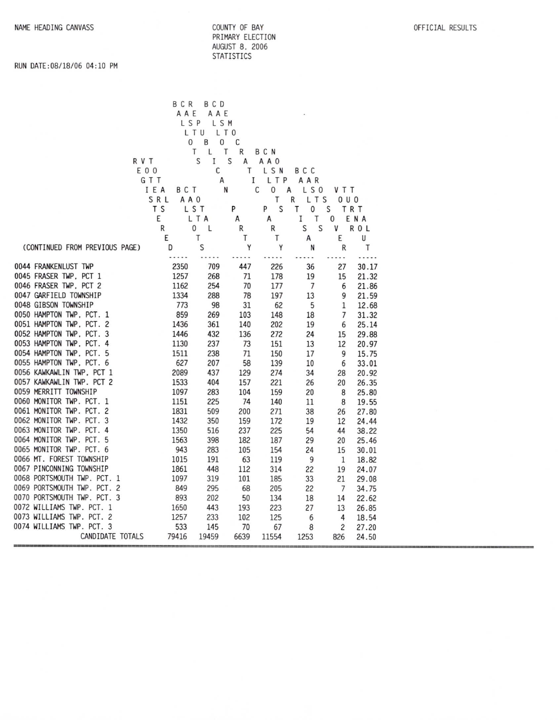|                                                      | BCR<br>AAE         | B C D<br>AAE   |            |                |                    |            |                |  |
|------------------------------------------------------|--------------------|----------------|------------|----------------|--------------------|------------|----------------|--|
|                                                      |                    | LSP<br>LSM     |            |                |                    |            |                |  |
|                                                      |                    | L T U<br>L T O |            |                |                    |            |                |  |
|                                                      | 0                  | B<br>0         | С          |                |                    |            |                |  |
|                                                      |                    | Τ<br>L         | Τ<br>R     | BCN            |                    |            |                |  |
|                                                      | R V T              | S<br>I         | S<br>A     | A A O          |                    |            |                |  |
|                                                      | E 0 0              | С              | Τ          | L S N          | B C C              |            |                |  |
|                                                      | GTT                | А              | Ι          | LTP            | AAR                |            |                |  |
|                                                      | IEA<br>BCT         |                | N          | С<br>$\pmb{0}$ | Α<br>LS0           | V T T      |                |  |
|                                                      | SRL<br>A A O<br>ΤS |                | P          | Τ<br>S<br>P    | R<br>LTS<br>т<br>0 | 0 U O<br>S |                |  |
|                                                      | E                  | LST<br>L T A   |            |                | T<br>I             | 0          | TRT            |  |
|                                                      | R                  | 0<br>L         | A<br>R     | A<br>R         | S<br>S             | v          | ENA<br>R O L   |  |
|                                                      | E                  | T              | т          | Т              | А                  | Ε          | U              |  |
| (CONTINUED FROM PREVIOUS PAGE)                       | D                  | S              | Y          | Y              | N                  | R          | Т              |  |
|                                                      |                    |                |            |                |                    |            | .              |  |
| 0044 FRANKENLUST TWP                                 | 2350               | 709            | 447        | 226            | 36                 | 27         | 30.17          |  |
| 0045 FRASER TWP, PCT 1                               | 1257               | 268            | 71         | 178            | 19                 | 15         | 21.32          |  |
| 0046 FRASER TWP, PCT 2                               | 1162               | 254            | 70         | 177            | $\overline{7}$     | 6          | 21.86          |  |
| 0047 GARFIELD TOWNSHIP                               | 1334               | 288            | 78         | 197            | 13                 | 9          | 21.59          |  |
| 0048 GIBSON TOWNSHIP                                 | 773                | 98             | 31         | 62             | 5                  | 1          | 12.68          |  |
| 0050 HAMPTON TWP, PCT. 1                             | 859                | 269            | 103        | 148            | 18                 | 7          | 31.32          |  |
| 0051 HAMPTON TWP, PCT. 2                             | 1436               | 361            | 140        | 202            | 19                 | 6          | 25.14          |  |
| 0052 HAMPTON TWP, PCT. 3                             | 1446               | 432            | 136        | 272            | 24                 | 15         | 29.88          |  |
| 0053 HAMPTON TWP, PCT. 4                             | 1130               | 237            | 73         | 151            | 13                 | 12         | 20.97          |  |
| 0054 HAMPTON TWP, PCT. 5                             | 1511               | 238            | 71         | 150            | 17                 | 9          | 15.75          |  |
| 0055 HAMPTON TWP, PCT, 6                             | 627                | 207            | 58         | 139            | 10                 | 6          | 33.01          |  |
| 0056 KAWKAWLIN TWP, PCT 1                            | 2089               | 437            | 129        | 274            | 34                 | 28         | 20.92          |  |
| 0057 KAWKAWLIN TWP. PCT 2                            | 1533               | 404            | 157        | 221            | 26                 | 20         | 26.35          |  |
| 0059 MERRITT TOWNSHIP                                | 1097               | 283            | 104        | 159            | 20                 | 8          | 25.80          |  |
| 0060 MONITOR TWP. PCT. 1                             | 1151               | 225            | 74         | 140            | 11                 | 8          | 19.55          |  |
| 0061 MONITOR TWP. PCT. 2                             | 1831               | 509            | 200        | 271            | 38                 | 26         | 27.80          |  |
| 0062 MONITOR TWP. PCT. 3<br>0063 MONITOR TWP. PCT. 4 | 1432<br>1350       | 350            | 159        | 172            | 19                 | 12         | 24.44          |  |
| 0064 MONITOR TWP. PCT. 5                             | 1563               | 516<br>398     | 237<br>182 | 225            | 54                 | 44         | 38.22          |  |
| 0065 MONITOR TWP. PCT. 6                             | 943                | 283            | 105        | 187<br>154     | 29<br>24           | 20<br>15   | 25.46<br>30.01 |  |
| 0066 MT. FOREST TOWNSHIP                             | 1015               | 191            | 63         | 119            | 9                  | 1          | 18.82          |  |
| 0067 PINCONNING TOWNSHIP                             | 1861               | 448            | 112        | 314            | 22                 | 19         | 24.07          |  |
| 0068 PORTSMOUTH TWP. PCT. 1                          | 1097               | 319            | 101        | 185            | 33                 | 21         | 29.08          |  |
| 0069 PORTSMOUTH TWP. PCT. 2                          | 849                | 295            | 68         | 205            | 22                 | 7          | 34.75          |  |
| 0070 PORTSMOUTH TWP. PCT. 3                          | 893                | 202            | 50         | 134            | 18                 | 14         | 22.62          |  |
| 0072 WILLIAMS TWP. PCT. 1                            | 1650               | 443            | 193        | 223            | 27                 | 13         | 26.85          |  |
| 0073 WILLIAMS TWP. PCT. 2                            | 1257               | 233            | 102        | 125            | 6                  | 4          | 18.54          |  |
| 0074 WILLIAMS TWP. PCT. 3                            | 533                | 145            | 70         | 67             | 8                  | 2          | 27.20          |  |
| CANDIDATE TOTALS                                     | 79416              | 19459          | 6639       | 11554          | 1253               | 826        | 24.50          |  |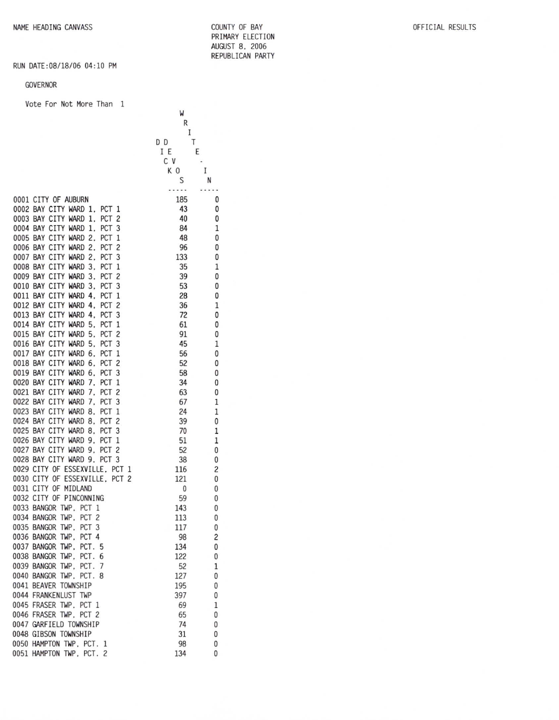COUNTY OF BAY PRIMARY ELECTION AUGUST 8, 2006 REPUBLICAN PARTY

 $\pmb{0}$  $\pmb{0}$  $\pmb{0}$  $\,1\,$  $\pmb{0}$  $\pmb{0}$  $\pmb{0}$  $\,1$  $\pmb{0}$  $\pmb{0}$  $\pmb{0}$  $\mathbf 1$  $\pmb{0}$  $\pmb{0}$  $\pmb{0}$  $\,1$  $\pmb{0}$  $\pmb{0}$  $\pmb{0}$  $\pmb{0}$  $\mathbf 0$  $\,1$  $\,1$  $\pmb{0}$  $\,1$  $\,1\,$  $\pmb{0}$  $\pmb{0}$  $\sqrt{2}$  $\pmb{0}$  $\pmb{0}$  $\pmb{0}$  $\pmb{0}$  $\pmb{0}$  $\pmb{0}$  $\overline{c}$  $\pmb{0}$  $\pmb{0}$  $1\,$  $\pmb{0}$  $\pmb{0}$  $\pmb{0}$  $1\,$  $\mathbf{0}$  $\pmb{0}$  $\pmb{0}$  $\pmb{0}$ 

# RUN DATE: 08/18/06 04:10 PM

#### GOVERNOR

Vote For Not More Than 1

|          |                                                                                | W          |        |
|----------|--------------------------------------------------------------------------------|------------|--------|
|          |                                                                                | R<br>I     |        |
|          |                                                                                | D D<br>Τ   |        |
|          |                                                                                | Ε<br>ΙΕ    |        |
|          |                                                                                | C V        |        |
|          |                                                                                | ΚO         | Ι      |
|          |                                                                                | S          | N      |
|          |                                                                                |            |        |
|          | 0001 CITY OF AUBURN                                                            | 185        | 0      |
|          | 0002 BAY CITY WARD<br>1,<br>PCT<br>1                                           | 43         | 0      |
|          | 0003 BAY CITY WARD<br>1.<br>PCT<br>2<br>0004 BAY CITY WARD<br>1.               | 40<br>84   | 0<br>1 |
|          | PCT<br>3<br>0005 BAY CITY WARD<br>2.<br>PCT<br>1                               | 48         | 0      |
|          | 0006 BAY CITY WARD<br>2.<br>PCT <sub>2</sub>                                   | 96         | 0      |
|          | 0007 BAY CITY WARD<br>PCT <sub>3</sub><br>2.                                   | 133        | 0      |
|          | 0008 BAY CITY WARD<br>PCT<br>3.<br>1                                           | 35         | 1      |
|          | 0009 BAY CITY WARD 3.<br>PCT<br>2                                              | 39         | 0      |
|          | 0010 BAY CITY WARD 3.<br>PCT <sub>3</sub>                                      | 53         | 0      |
|          | 0011 BAY CITY WARD 4.<br>PCT<br>1                                              | 28         | 0      |
|          | 0012 BAY CITY WARD 4.<br>PCT<br>2                                              | 36         | 1      |
|          | 0013 BAY CITY WARD<br>4.<br>PCT <sub>3</sub>                                   | 72         | 0      |
|          | 0014 BAY CITY WARD<br>5.<br>PCT<br>1                                           | 61         | 0      |
|          | 0015 BAY CITY WARD<br>PCT <sub>2</sub><br>5.                                   | 91         | 0      |
|          | 0016 BAY CITY WARD<br>5.<br>PCT<br>3                                           | 45         | 1      |
| 0017 BAY | CITY WARD<br>PCT<br>6.<br>1                                                    | 56         | 0      |
|          | 0018 BAY CITY WARD<br>PCT <sub>2</sub><br>6.                                   | 52         | 0      |
|          | 0019 BAY CITY WARD<br>PCT <sub>3</sub><br>6.                                   | 58         | 0      |
|          | 0020 BAY CITY WARD<br>PCT<br>7.<br>1                                           | 34         | 0      |
|          | 0021 BAY CITY WARD<br>PCT<br>7.<br>2                                           | 63         | 0      |
|          | 0022 BAY CITY WARD<br>PCT <sub>3</sub><br>7.                                   | 67         | 1      |
|          | 0023 BAY CITY WARD 8.<br>PCT<br>1                                              | 24         | 1      |
|          | 0024 BAY CITY WARD 8.<br>PCT<br>2                                              | 39         | 0      |
| 0025 BAY | CITY WARD 8.<br>PCT<br>3                                                       | 70         | 1      |
|          | 0026 BAY CITY WARD 9.<br>PCT<br>1                                              | 51         | 1      |
|          | 0027 BAY CITY WARD 9.<br>PCT <sub>2</sub>                                      | 52         | 0      |
|          | 0028 BAY CITY WARD 9.<br>PCT <sub>3</sub>                                      | 38         | 0      |
|          | 0029 CITY OF ESSEXVILLE, PCT 1<br>0030 CITY OF ESSEXVILLE.<br>PCT <sub>2</sub> | 116<br>121 | 2<br>0 |
| 0031     | CITY OF<br>MIDLAND                                                             | 0          | 0      |
|          | 0032 CITY OF PINCONNING                                                        | 59         | 0      |
|          | 0033 BANGOR TWP.<br>PCT <sub>1</sub>                                           | 143        | 0      |
|          | 0034 BANGOR TWP. PCT<br>2                                                      | 113        | 0      |
|          | 0035 BANGOR TWP, PCT 3                                                         | 117        | 0      |
|          | 0036 BANGOR TWP, PCT 4                                                         | 98         | 2      |
|          | 0037 BANGOR TWP, PCT. 5                                                        | 134        | 0      |
|          | 0038 BANGOR TWP. PCT.<br>6                                                     | 122        | 0      |
|          | 0039 BANGOR TWP, PCT.<br>7                                                     | 52         | 1      |
|          | 0040 BANGOR TWP, PCT. 8                                                        | 127        | 0      |
|          | 0041 BEAVER TOWNSHIP                                                           | 195        | 0      |
|          | 0044 FRANKENLUST TWP                                                           | 397        | 0      |
|          | 0045 FRASER TWP, PCT 1                                                         | 69         | 1      |
|          | 0046 FRASER TWP, PCT 2                                                         | 65         | 0      |
|          | 0047 GARFIELD TOWNSHIP                                                         | 74         | 0      |
|          | 0048 GIBSON TOWNSHIP                                                           | 31         | 0      |
|          | 0050 HAMPTON TWP, PCT. 1                                                       | 98         | 0      |
|          | 0051 HAMPTON TWP, PCT. 2                                                       | 134        | 0      |